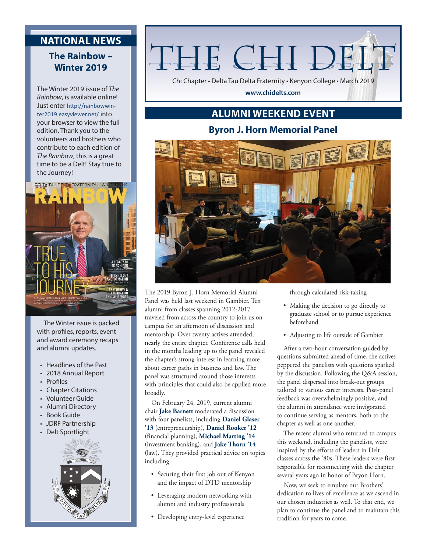### **NATIONAL NEWS**

### **The Rainbow – Winter 2019**

The Winter 2019 issue of *The Rainbow*, is available online! Just enter http://rainbowwinter2019.easyviewer.net/ into your browser to view the full edition. Thank you to the volunteers and brothers who contribute to each edition of *The Rainbow*, this is a great time to be a Delt! Stay true to the Journey!



The Winter issue is packed with profiles, reports, event and award ceremony recaps and alumni updates.

- Headlines of the Past
- 2018 Annual Report
- Profiles
- Chapter Citations
- Volunteer Guide
- Alumni Directory
- Book Guide
- JDRF Partnership
- Delt Sportlight



# THE CHI DE.

Chi Chapter • Delta Tau Delta Fraternity • Kenyon College • March 2019

**www.chidelts.com**

## **ALUMNI WEEKEND EVENT**

### **Byron J. Horn Memorial Panel**



The 2019 Byron J. Horn Memorial Alumni Panel was held last weekend in Gambier. Ten alumni from classes spanning 2012-2017 traveled from across the country to join us on campus for an afternoon of discussion and mentorship. Over twenty actives attended, nearly the entire chapter. Conference calls held in the months leading up to the panel revealed the chapter's strong interest in learning more about career paths in business and law. The panel was structured around those interests with principles that could also be applied more broadly.

On February 24, 2019, current alumni chair **Jake Barnett** moderated a discussion with four panelists, including **Daniel Glaser '13** (entrepreneurship), **Daniel Rooker '12**  (financial planning), **Michael Marting '14** (investment banking), and **Jake Thorn '14**  (law). They provided practical advice on topics including:

- Securing their first job out of Kenyon and the impact of DTD mentorship
- Leveraging modern networking with alumni and industry professionals
- Developing entry-level experience

through calculated risk-taking

- Making the decision to go directly to graduate school or to pursue experience beforehand
- Adjusting to life outside of Gambier

After a two-hour conversation guided by questions submitted ahead of time, the actives peppered the panelists with questions sparked by the discussion. Following the Q&A session, the panel dispersed into break-out groups tailored to various career interests. Post-panel feedback was overwhelmingly positive, and the alumni in attendance were invigorated to continue serving as mentors, both to the chapter as well as one another.

The recent alumni who returned to campus this weekend, including the panelists, were inspired by the efforts of leaders in Delt classes across the '80s. These leaders were first responsible for reconnecting with the chapter several years ago in honor of Bryon Horn.

Now, we seek to emulate our Brothers' dedication to lives of excellence as we ascend in our chosen industries as well. To that end, we plan to continue the panel and to maintain this tradition for years to come.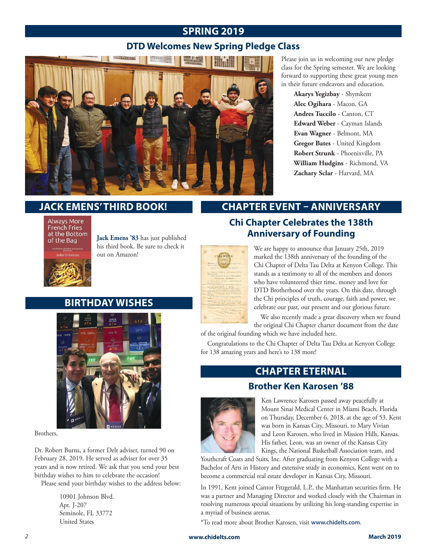### **SPRING 2019**

### **DTD Welcomes New Spring Pledge Class**



Please join us in welcoming our new pledge class for the Spring semester. We are looking forward to supporting these great young men in their future endeavors and education.

> **Akarys Yegizbay** - Shymkent **Alec Ogihara** - Macon, GA **Andres Tuccilo** - Canton, CT **Edward Weber** - Cayman Islands **Evan Wagner** - Belmont, MA **Gregor Bates** - United Kingdom **Robert Strunk** - Phoenixville, PA **William Hudgins** - Richmond, VA **Zachary Sclar** - Harvard, MA

### **JACK EMENS' THIRD BOOK!**

**Always More** French Fries at the Bottom of the Bag



**Jack Emens '83** has just published his third book. Be sure to check it out on Amazon!

### **BIRTHDAY WISHES**



Brothers,

Dr. Robert Burns, a former Delt adviser, turned 90 on February 28, 2019. He served as adviser for over 35 years and is now retired. We ask that you send your best birthday wishes to him to celebrate the occasion!

Please send your birthday wishes to the address below:

10901 Johnson Blvd. Apt. J-207 Seminole, FL 33772 United States

# **CHAPTER EVENT – ANNIVERSARY**

We are happy to announce that January 25th, 2019 **Chi Chapter Celebrates the 138th Anniversary of Founding**

marked the 138th anniversary of the founding of the Chi Chapter of Delta Tau Delta at Kenyon College. This stands as a testimony to all of the members and donors who have volunteered thier time, money and love for DTD Brotherhood over the years. On this date, through the Chi principles of truth, courage, faith and power, we celebrate our past, our present and our glorious future.

We also recently made a great discovery when we found the original Chi Chapter charter document from the date

of the original founding which we have included here.

Congratulations to the Chi Chapter of Delta Tau Delta at Kenyon College for 138 amazing years and here's to 138 more!

### **CHAPTER ETERNAL**

### **Brother Ken Karosen '88**



Ken Lawrence Karosen passed away peacefully at Mount Sinai Medical Center in Miami Beach, Florida on Thursday, December 6, 2018, at the age of 53. Kent was born in Kansas City, Missouri, to Mary Vivian and Leon Karosen, who lived in Mission Hills, Kansas. His father, Leon, was an owner of the Kansas City Kings, the National Basketball Association team, and

Youthcraft Coats and Suits, Inc. After graduating from Kenyon College with a Bachelor of Arts in History and extensive study in economics, Kent went on to become a commercial real estate developer in Kansas City, Missouri.

In 1991, Kent joined Cantor Fitzgerald, L.P., the Manhattan securities firm. He was a partner and Managing Director and worked closely with the Chairman in resolving numerous special situations by utilizing his long-standing expertise in a myriad of business arenas.

\*To read more about Brother Karosen, visit **www.chidelts.com**.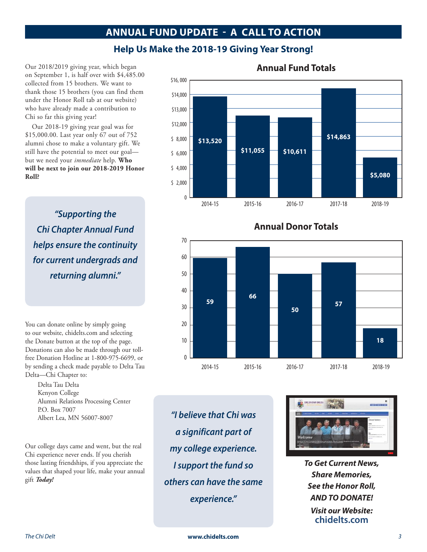### **ANNUAL FUND UPDATE - A CALL TO ACTION**

### **Help Us Make the 2018-19 Giving Year Strong!**

Our 2018/2019 giving year, which began on September 1, is half over with \$4,485.00 collected from 15 brothers. We want to thank those 15 brothers (you can find them under the Honor Roll tab at our website) who have already made a contribution to Chi so far this giving year!

Our 2018-19 giving year goal was for \$15,000.00. Last year only 67 out of 752 alumni chose to make a voluntary gift. We still have the potential to meet our goal but we need your *immediate* help. **Who will be next to join our 2018-2019 Honor Roll?**

*"Supporting the Chi Chapter Annual Fund helps ensure the continuity for current undergrads and returning alumni."*

You can donate online by simply going to our website, chidelts.com and selecting the Donate button at the top of the page. Donations can also be made through our tollfree Donation Hotline at 1-800-975-6699, or by sending a check made payable to Delta Tau Delta—Chi Chapter to:

> Delta Tau Delta Kenyon College Alumni Relations Processing Center P.O. Box 7007 Albert Lea, MN 56007-8007

Our college days came and went, but the real Chi experience never ends. If you cherish those lasting friendships, if you appreciate the values that shaped your life, make your annual gift *Today!*

*"I believe that Chi was a significant part of my college experience. I support the fund so others can have the same experience."*



*To Get Current News, Share Memories, See the Honor Roll, AND TO DONATE! Visit our Website:* **chidelts.com**

### **\$13,520 \$11,055 \$10,611 \$14,863** \$16, 000 \$14,000 \$13,000 \$12,000 \$ 8,000 \$ 6,000  $$ 4,000$ \$ 2,000 0 **\$5,080** 2014-15 2015-16 2016-17 2017-18 2018-19

### **Annual Fund Totals**



**Annual Donor Totals**